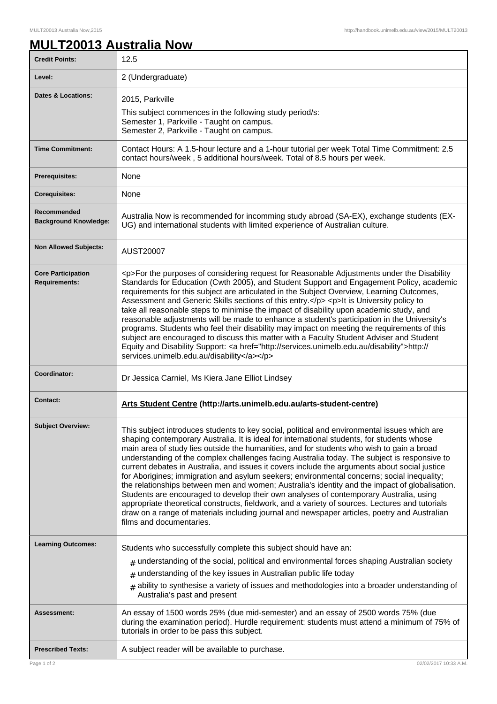٦

## **MULT20013 Australia Now**

| <b>Credit Points:</b>                             | 12.5                                                                                                                                                                                                                                                                                                                                                                                                                                                                                                                                                                                                                                                                                                                                                                                                                                                                                                                                                                                                              |
|---------------------------------------------------|-------------------------------------------------------------------------------------------------------------------------------------------------------------------------------------------------------------------------------------------------------------------------------------------------------------------------------------------------------------------------------------------------------------------------------------------------------------------------------------------------------------------------------------------------------------------------------------------------------------------------------------------------------------------------------------------------------------------------------------------------------------------------------------------------------------------------------------------------------------------------------------------------------------------------------------------------------------------------------------------------------------------|
| Level:                                            | 2 (Undergraduate)                                                                                                                                                                                                                                                                                                                                                                                                                                                                                                                                                                                                                                                                                                                                                                                                                                                                                                                                                                                                 |
| <b>Dates &amp; Locations:</b>                     | 2015, Parkville<br>This subject commences in the following study period/s:<br>Semester 1, Parkville - Taught on campus.<br>Semester 2, Parkville - Taught on campus.                                                                                                                                                                                                                                                                                                                                                                                                                                                                                                                                                                                                                                                                                                                                                                                                                                              |
| <b>Time Commitment:</b>                           | Contact Hours: A 1.5-hour lecture and a 1-hour tutorial per week Total Time Commitment: 2.5<br>contact hours/week, 5 additional hours/week. Total of 8.5 hours per week.                                                                                                                                                                                                                                                                                                                                                                                                                                                                                                                                                                                                                                                                                                                                                                                                                                          |
| <b>Prerequisites:</b>                             | None                                                                                                                                                                                                                                                                                                                                                                                                                                                                                                                                                                                                                                                                                                                                                                                                                                                                                                                                                                                                              |
| <b>Corequisites:</b>                              | None                                                                                                                                                                                                                                                                                                                                                                                                                                                                                                                                                                                                                                                                                                                                                                                                                                                                                                                                                                                                              |
| Recommended<br><b>Background Knowledge:</b>       | Australia Now is recommended for incomming study abroad (SA-EX), exchange students (EX-<br>UG) and international students with limited experience of Australian culture.                                                                                                                                                                                                                                                                                                                                                                                                                                                                                                                                                                                                                                                                                                                                                                                                                                          |
| <b>Non Allowed Subjects:</b>                      | AUST20007                                                                                                                                                                                                                                                                                                                                                                                                                                                                                                                                                                                                                                                                                                                                                                                                                                                                                                                                                                                                         |
| <b>Core Participation</b><br><b>Requirements:</b> | <p>For the purposes of considering request for Reasonable Adjustments under the Disability<br/>Standards for Education (Cwth 2005), and Student Support and Engagement Policy, academic<br/>requirements for this subject are articulated in the Subject Overview, Learning Outcomes,<br/>Assessment and Generic Skills sections of this entry.</p> <p>It is University policy to<br/>take all reasonable steps to minimise the impact of disability upon academic study, and<br/>reasonable adjustments will be made to enhance a student's participation in the University's<br/>programs. Students who feel their disability may impact on meeting the requirements of this<br/>subject are encouraged to discuss this matter with a Faculty Student Adviser and Student<br/>Equity and Disability Support: &lt; a href="http://services.unimelb.edu.au/disability"&gt;http://<br/>services.unimelb.edu.au/disability</p>                                                                                      |
| Coordinator:                                      | Dr Jessica Carniel, Ms Kiera Jane Elliot Lindsey                                                                                                                                                                                                                                                                                                                                                                                                                                                                                                                                                                                                                                                                                                                                                                                                                                                                                                                                                                  |
| <b>Contact:</b>                                   | Arts Student Centre (http://arts.unimelb.edu.au/arts-student-centre)                                                                                                                                                                                                                                                                                                                                                                                                                                                                                                                                                                                                                                                                                                                                                                                                                                                                                                                                              |
| <b>Subject Overview:</b>                          | This subject introduces students to key social, political and environmental issues which are<br>shaping contemporary Australia. It is ideal for international students, for students whose<br>main area of study lies outside the humanities, and for students who wish to gain a broad<br>understanding of the complex challenges facing Australia today. The subject is responsive to<br>current debates in Australia, and issues it covers include the arguments about social justice<br>for Aborigines; immigration and asylum seekers; environmental concerns; social inequality;<br>the relationships between men and women; Australia's identity and the impact of globalisation.<br>Students are encouraged to develop their own analyses of contemporary Australia, using<br>appropriate theoretical constructs, fieldwork, and a variety of sources. Lectures and tutorials<br>draw on a range of materials including journal and newspaper articles, poetry and Australian<br>films and documentaries. |
| <b>Learning Outcomes:</b>                         | Students who successfully complete this subject should have an:<br>$_{\#}$ understanding of the social, political and environmental forces shaping Australian society<br>$#$ understanding of the key issues in Australian public life today<br>$_{\text{\#}}$ ability to synthesise a variety of issues and methodologies into a broader understanding of<br>Australia's past and present                                                                                                                                                                                                                                                                                                                                                                                                                                                                                                                                                                                                                        |
| <b>Assessment:</b>                                | An essay of 1500 words 25% (due mid-semester) and an essay of 2500 words 75% (due<br>during the examination period). Hurdle requirement: students must attend a minimum of 75% of<br>tutorials in order to be pass this subject.                                                                                                                                                                                                                                                                                                                                                                                                                                                                                                                                                                                                                                                                                                                                                                                  |
| <b>Prescribed Texts:</b>                          | A subject reader will be available to purchase.                                                                                                                                                                                                                                                                                                                                                                                                                                                                                                                                                                                                                                                                                                                                                                                                                                                                                                                                                                   |
|                                                   | 02/02/2017 10:33 A.M.                                                                                                                                                                                                                                                                                                                                                                                                                                                                                                                                                                                                                                                                                                                                                                                                                                                                                                                                                                                             |